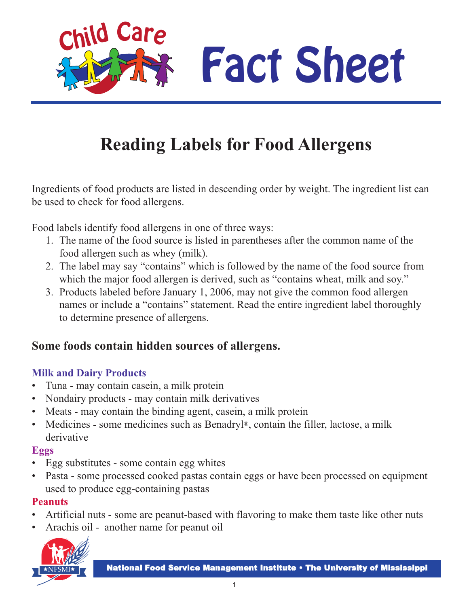

## **Reading Labels for Food Allergens**

Ingredients of food products are listed in descending order by weight. The ingredient list can be used to check for food allergens.

Food labels identify food allergens in one of three ways:

- 1. The name of the food source is listed in parentheses after the common name of the food allergen such as whey (milk).
- 2. The label may say "contains" which is followed by the name of the food source from which the major food allergen is derived, such as "contains wheat, milk and soy."
- 3. Products labeled before January 1, 2006, may not give the common food allergen names or include a "contains" statement. Read the entire ingredient label thoroughly to determine presence of allergens.

### **Some foods contain hidden sources of allergens.**

#### **Milk and Dairy Products**

- Tuna may contain casein, a milk protein
- Nondairy products may contain milk derivatives
- Meats may contain the binding agent, casein, a milk protein
- Medicines some medicines such as Benadryl®, contain the filler, lactose, a milk derivative

#### **Eggs**

- Egg substitutes some contain egg whites
- Pasta some processed cooked pastas contain eggs or have been processed on equipment used to produce egg-containing pastas

#### **Peanuts**

- Artificial nuts some are peanut-based with flavoring to make them taste like other nuts
- Arachis oil another name for peanut oil